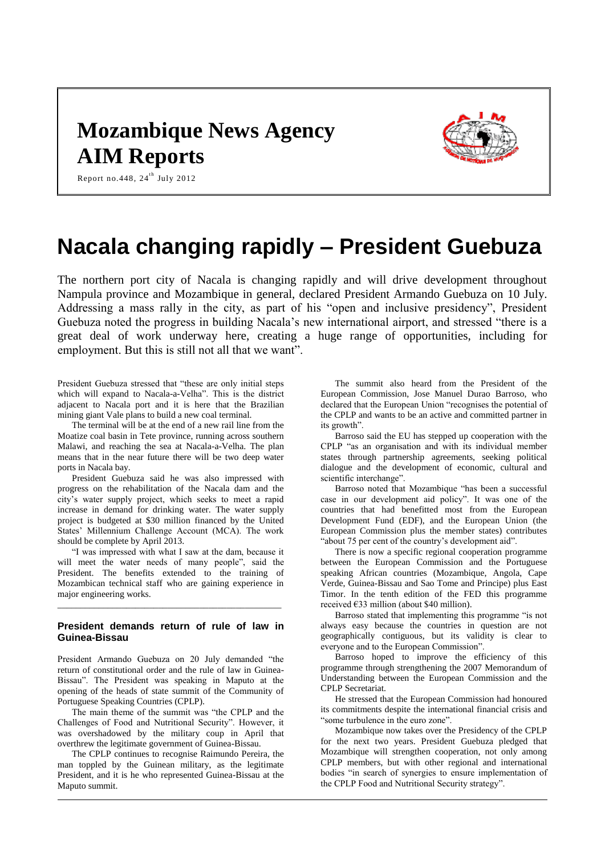## **Mozambique News Agency AIM Reports**



Report no.448, 24 $^{\rm th}$  July 2012

# **Nacala changing rapidly – President Guebuza**

The northern port city of Nacala is changing rapidly and will drive development throughout Nampula province and Mozambique in general, declared President Armando Guebuza on 10 July. Addressing a mass rally in the city, as part of his "open and inclusive presidency", President Guebuza noted the progress in building Nacala's new international airport, and stressed "there is a great deal of work underway here, creating a huge range of opportunities, including for employment. But this is still not all that we want".

President Guebuza stressed that "these are only initial steps which will expand to Nacala-a-Velha". This is the district adjacent to Nacala port and it is here that the Brazilian mining giant Vale plans to build a new coal terminal.

The terminal will be at the end of a new rail line from the Moatize coal basin in Tete province, running across southern Malawi, and reaching the sea at Nacala-a-Velha. The plan means that in the near future there will be two deep water ports in Nacala bay.

President Guebuza said he was also impressed with progress on the rehabilitation of the Nacala dam and the city's water supply project, which seeks to meet a rapid increase in demand for drinking water. The water supply project is budgeted at \$30 million financed by the United States' Millennium Challenge Account (MCA). The work should be complete by April 2013.

"I was impressed with what I saw at the dam, because it will meet the water needs of many people", said the President. The benefits extended to the training of Mozambican technical staff who are gaining experience in major engineering works.

### **President demands return of rule of law in Guinea-Bissau**

\_\_\_\_\_\_\_\_\_\_\_\_\_\_\_\_\_\_\_\_\_\_\_\_\_\_\_\_\_\_\_\_\_\_\_\_\_\_\_\_\_\_\_\_\_\_\_\_\_

President Armando Guebuza on 20 July demanded "the return of constitutional order and the rule of law in Guinea-Bissau". The President was speaking in Maputo at the opening of the heads of state summit of the Community of Portuguese Speaking Countries (CPLP).

The main theme of the summit was "the CPLP and the Challenges of Food and Nutritional Security". However, it was overshadowed by the military coup in April that overthrew the legitimate government of Guinea-Bissau.

The CPLP continues to recognise Raimundo Pereira, the man toppled by the Guinean military, as the legitimate President, and it is he who represented Guinea-Bissau at the Maputo summit.

The summit also heard from the President of the European Commission, Jose Manuel Durao Barroso, who declared that the European Union "recognises the potential of the CPLP and wants to be an active and committed partner in its growth".

Barroso said the EU has stepped up cooperation with the CPLP "as an organisation and with its individual member states through partnership agreements, seeking political dialogue and the development of economic, cultural and scientific interchange".

Barroso noted that Mozambique "has been a successful case in our development aid policy". It was one of the countries that had benefitted most from the European Development Fund (EDF), and the European Union (the European Commission plus the member states) contributes "about 75 per cent of the country's development aid".

There is now a specific regional cooperation programme between the European Commission and the Portuguese speaking African countries (Mozambique, Angola, Cape Verde, Guinea-Bissau and Sao Tome and Principe) plus East Timor. In the tenth edition of the FED this programme received €33 million (about \$40 million).

Barroso stated that implementing this programme "is not always easy because the countries in question are not geographically contiguous, but its validity is clear to everyone and to the European Commission".

Barroso hoped to improve the efficiency of this programme through strengthening the 2007 Memorandum of Understanding between the European Commission and the CPLP Secretariat.

He stressed that the European Commission had honoured its commitments despite the international financial crisis and "some turbulence in the euro zone".

Mozambique now takes over the Presidency of the CPLP for the next two years. President Guebuza pledged that Mozambique will strengthen cooperation, not only among CPLP members, but with other regional and international bodies "in search of synergies to ensure implementation of the CPLP Food and Nutritional Security strategy".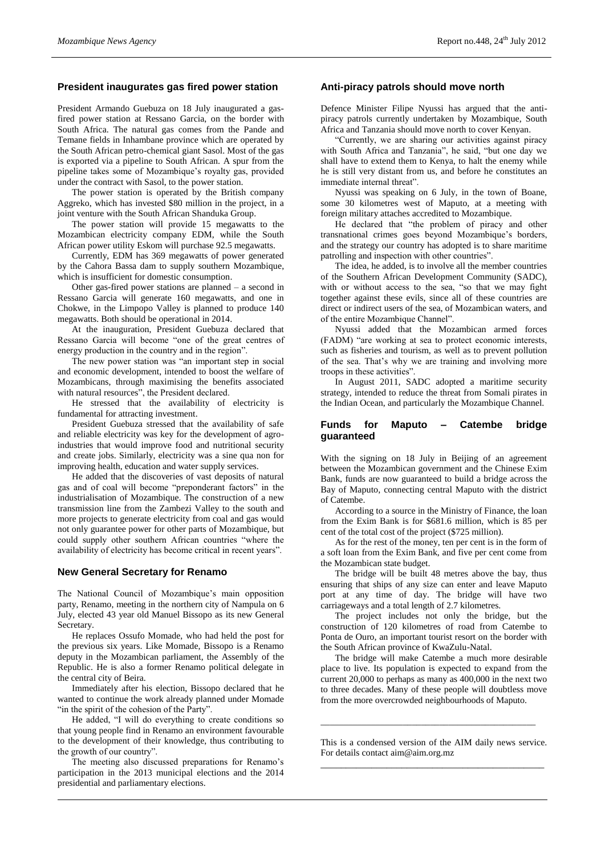## **President inaugurates gas fired power station**

President Armando Guebuza on 18 July inaugurated a gasfired power station at Ressano Garcia, on the border with South Africa. The natural gas comes from the Pande and Temane fields in Inhambane province which are operated by the South African petro-chemical giant Sasol. Most of the gas is exported via a pipeline to South African. A spur from the pipeline takes some of Mozambique's royalty gas, provided under the contract with Sasol, to the power station.

The power station is operated by the British company Aggreko, which has invested \$80 million in the project, in a joint venture with the South African Shanduka Group.

The power station will provide 15 megawatts to the Mozambican electricity company EDM, while the South African power utility Eskom will purchase 92.5 megawatts.

Currently, EDM has 369 megawatts of power generated by the Cahora Bassa dam to supply southern Mozambique, which is insufficient for domestic consumption.

Other gas-fired power stations are planned – a second in Ressano Garcia will generate 160 megawatts, and one in Chokwe, in the Limpopo Valley is planned to produce 140 megawatts. Both should be operational in 2014.

At the inauguration, President Guebuza declared that Ressano Garcia will become "one of the great centres of energy production in the country and in the region".

The new power station was "an important step in social and economic development, intended to boost the welfare of Mozambicans, through maximising the benefits associated with natural resources", the President declared.

He stressed that the availability of electricity is fundamental for attracting investment.

President Guebuza stressed that the availability of safe and reliable electricity was key for the development of agroindustries that would improve food and nutritional security and create jobs. Similarly, electricity was a sine qua non for improving health, education and water supply services.

He added that the discoveries of vast deposits of natural gas and of coal will become "preponderant factors" in the industrialisation of Mozambique. The construction of a new transmission line from the Zambezi Valley to the south and more projects to generate electricity from coal and gas would not only guarantee power for other parts of Mozambique, but could supply other southern African countries "where the availability of electricity has become critical in recent years".

### **New General Secretary for Renamo**

The National Council of Mozambique's main opposition party, Renamo, meeting in the northern city of Nampula on 6 July, elected 43 year old Manuel Bissopo as its new General Secretary.

He replaces Ossufo Momade, who had held the post for the previous six years. Like Momade, Bissopo is a Renamo deputy in the Mozambican parliament, the Assembly of the Republic. He is also a former Renamo political delegate in the central city of Beira.

Immediately after his election, Bissopo declared that he wanted to continue the work already planned under Momade "in the spirit of the cohesion of the Party".

He added, "I will do everything to create conditions so that young people find in Renamo an environment favourable to the development of their knowledge, thus contributing to the growth of our country".

The meeting also discussed preparations for Renamo's participation in the 2013 municipal elections and the 2014 presidential and parliamentary elections.

## **Anti-piracy patrols should move north**

Defence Minister Filipe Nyussi has argued that the antipiracy patrols currently undertaken by Mozambique, South Africa and Tanzania should move north to cover Kenyan.

"Currently, we are sharing our activities against piracy with South Africa and Tanzania", he said, "but one day we shall have to extend them to Kenya, to halt the enemy while he is still very distant from us, and before he constitutes an immediate internal threat".

Nyussi was speaking on 6 July, in the town of Boane, some 30 kilometres west of Maputo, at a meeting with foreign military attaches accredited to Mozambique.

He declared that "the problem of piracy and other transnational crimes goes beyond Mozambique's borders, and the strategy our country has adopted is to share maritime patrolling and inspection with other countries".

The idea, he added, is to involve all the member countries of the Southern African Development Community (SADC), with or without access to the sea, "so that we may fight together against these evils, since all of these countries are direct or indirect users of the sea, of Mozambican waters, and of the entire Mozambique Channel".

Nyussi added that the Mozambican armed forces (FADM) "are working at sea to protect economic interests, such as fisheries and tourism, as well as to prevent pollution of the sea. That's why we are training and involving more troops in these activities".

In August 2011, SADC adopted a maritime security strategy, intended to reduce the threat from Somali pirates in the Indian Ocean, and particularly the Mozambique Channel.

#### **Funds for Maputo – Catembe bridge guaranteed**

With the signing on 18 July in Beijing of an agreement between the Mozambican government and the Chinese Exim Bank, funds are now guaranteed to build a bridge across the Bay of Maputo, connecting central Maputo with the district of Catembe.

According to a source in the Ministry of Finance, the loan from the Exim Bank is for \$681.6 million, which is 85 per cent of the total cost of the project (\$725 million).

As for the rest of the money, ten per cent is in the form of a soft loan from the Exim Bank, and five per cent come from the Mozambican state budget.

The bridge will be built 48 metres above the bay, thus ensuring that ships of any size can enter and leave Maputo port at any time of day. The bridge will have two carriageways and a total length of 2.7 kilometres.

The project includes not only the bridge, but the construction of 120 kilometres of road from Catembe to Ponta de Ouro, an important tourist resort on the border with the South African province of KwaZulu-Natal.

The bridge will make Catembe a much more desirable place to live. Its population is expected to expand from the current 20,000 to perhaps as many as 400,000 in the next two to three decades. Many of these people will doubtless move from the more overcrowded neighbourhoods of Maputo.

This is a condensed version of the AIM daily news service. For details contact aim@aim.org.mz \_\_\_\_\_\_\_\_\_\_\_\_\_\_\_\_\_\_\_\_\_\_\_\_\_\_\_\_\_\_\_\_\_\_\_\_\_\_\_\_\_\_\_\_

\_\_\_\_\_\_\_\_\_\_\_\_\_\_\_\_\_\_\_\_\_\_\_\_\_\_\_\_\_\_\_\_\_\_\_\_\_\_\_\_\_\_\_\_\_\_\_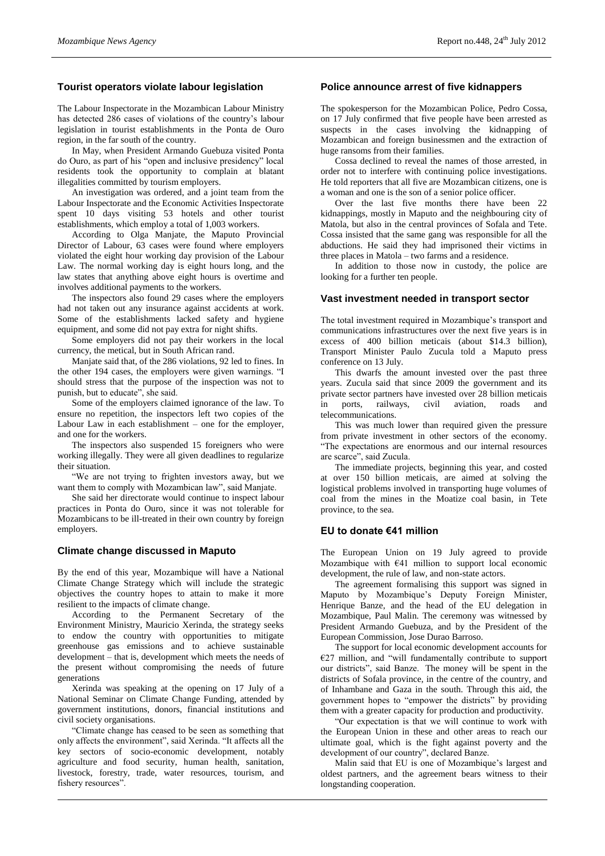## **Tourist operators violate labour legislation**

The Labour Inspectorate in the Mozambican Labour Ministry has detected 286 cases of violations of the country's labour legislation in tourist establishments in the Ponta de Ouro region, in the far south of the country.

In May, when President Armando Guebuza visited Ponta do Ouro, as part of his "open and inclusive presidency" local residents took the opportunity to complain at blatant illegalities committed by tourism employers.

An investigation was ordered, and a joint team from the Labour Inspectorate and the Economic Activities Inspectorate spent 10 days visiting 53 hotels and other tourist establishments, which employ a total of 1,003 workers.

According to Olga Manjate, the Maputo Provincial Director of Labour, 63 cases were found where employers violated the eight hour working day provision of the Labour Law. The normal working day is eight hours long, and the law states that anything above eight hours is overtime and involves additional payments to the workers.

The inspectors also found 29 cases where the employers had not taken out any insurance against accidents at work. Some of the establishments lacked safety and hygiene equipment, and some did not pay extra for night shifts.

Some employers did not pay their workers in the local currency, the metical, but in South African rand.

Manjate said that, of the 286 violations, 92 led to fines. In the other 194 cases, the employers were given warnings. "I should stress that the purpose of the inspection was not to punish, but to educate", she said.

Some of the employers claimed ignorance of the law. To ensure no repetition, the inspectors left two copies of the Labour Law in each establishment – one for the employer, and one for the workers.

The inspectors also suspended 15 foreigners who were working illegally. They were all given deadlines to regularize their situation.

"We are not trying to frighten investors away, but we want them to comply with Mozambican law", said Manjate.

She said her directorate would continue to inspect labour practices in Ponta do Ouro, since it was not tolerable for Mozambicans to be ill-treated in their own country by foreign employers.

### **Climate change discussed in Maputo**

By the end of this year, Mozambique will have a National Climate Change Strategy which will include the strategic objectives the country hopes to attain to make it more resilient to the impacts of climate change.

According to the Permanent Secretary of the Environment Ministry, Mauricio Xerinda, the strategy seeks to endow the country with opportunities to mitigate greenhouse gas emissions and to achieve sustainable development – that is, development which meets the needs of the present without compromising the needs of future generations

Xerinda was speaking at the opening on 17 July of a National Seminar on Climate Change Funding, attended by government institutions, donors, financial institutions and civil society organisations.

"Climate change has ceased to be seen as something that only affects the environment", said Xerinda. "It affects all the key sectors of socio-economic development, notably agriculture and food security, human health, sanitation, livestock, forestry, trade, water resources, tourism, and fishery resources".

## **Police announce arrest of five kidnappers**

The spokesperson for the Mozambican Police, Pedro Cossa, on 17 July confirmed that five people have been arrested as suspects in the cases involving the kidnapping of Mozambican and foreign businessmen and the extraction of huge ransoms from their families.

Cossa declined to reveal the names of those arrested, in order not to interfere with continuing police investigations. He told reporters that all five are Mozambican citizens, one is a woman and one is the son of a senior police officer.

Over the last five months there have been 22 kidnappings, mostly in Maputo and the neighbouring city of Matola, but also in the central provinces of Sofala and Tete. Cossa insisted that the same gang was responsible for all the abductions. He said they had imprisoned their victims in three places in Matola – two farms and a residence.

In addition to those now in custody, the police are looking for a further ten people.

## **Vast investment needed in transport sector**

The total investment required in Mozambique's transport and communications infrastructures over the next five years is in excess of 400 billion meticais (about \$14.3 billion), Transport Minister Paulo Zucula told a Maputo press conference on 13 July.

This dwarfs the amount invested over the past three years. Zucula said that since 2009 the government and its private sector partners have invested over 28 billion meticais in ports, railways, civil aviation, roads and telecommunications.

This was much lower than required given the pressure from private investment in other sectors of the economy. "The expectations are enormous and our internal resources are scarce", said Zucula.

The immediate projects, beginning this year, and costed at over 150 billion meticais, are aimed at solving the logistical problems involved in transporting huge volumes of coal from the mines in the Moatize coal basin, in Tete province, to the sea.

### **EU to donate €41 million**

The European Union on 19 July agreed to provide Mozambique with  $\epsilon$ 41 million to support local economic development, the rule of law, and non-state actors.

The agreement formalising this support was signed in Maputo by Mozambique's Deputy Foreign Minister, Henrique Banze, and the head of the EU delegation in Mozambique, Paul Malin. The ceremony was witnessed by President Armando Guebuza, and by the President of the European Commission, Jose Durao Barroso.

The support for local economic development accounts for  $E27$  million, and "will fundamentally contribute to support our districts", said Banze. The money will be spent in the districts of Sofala province, in the centre of the country, and of Inhambane and Gaza in the south. Through this aid, the government hopes to "empower the districts" by providing them with a greater capacity for production and productivity.

"Our expectation is that we will continue to work with the European Union in these and other areas to reach our ultimate goal, which is the fight against poverty and the development of our country", declared Banze.

Malin said that EU is one of Mozambique's largest and oldest partners, and the agreement bears witness to their longstanding cooperation.